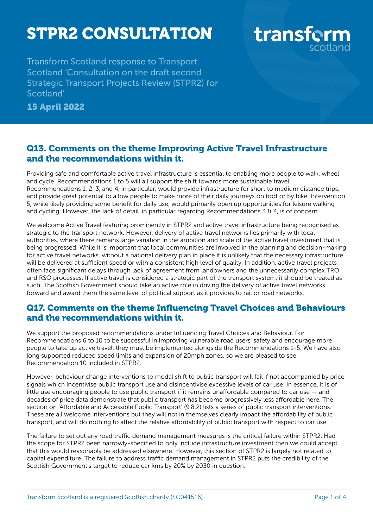# STPR2 CONSULTATION

Transform Scotland response to Transport Scotland 'Consultation on the draft second Strategic Transport Projects Review (STPR2) for Scotland'

15 April 2022

### Q13. Comments on the theme Improving Active Travel Infrastructure and the recommendations within it.

Providing safe and comfortable active travel infrastructure is essential to enabling more people to walk, wheel and cycle. Recommendations 1 to 5 will all support the shift towards more sustainable travel. Recommendations 1, 2, 3, and 4, in particular, would provide infrastructure for short to medium distance trips, and provide great potential to allow people to make more of their daily journeys on foot or by bike. Intervention 5, while likely providing some benefit for daily use, would primarily open up opportunities for leisure walking and cycling. However, the lack of detail, in particular regarding Recommendations  $364$ , is of concern.

We welcome Active Travel featuring prominently in STPR2 and active travel infrastructure being recognised as strategic to the transport network. However, delivery of active travel networks lies primarily with local authorities, where there remains large variation in the ambition and scale of the active travel investment that is being progressed. While it is important that local communities are involved in the planning and decision-making for active travel networks, without a national delivery plan in place it is unlikely that the necessary infrastructure will be delivered at sufficient speed or with a consistent high level of quality. In addition, active travel projects often face significant delays through lack of agreement from landowners and the unnecessarily complex TRO and RSO processes. If active travel is considered a strategic part of the transport system, it should be treated as such. The Scottish Government should take an active role in driving the delivery of active travel networks forward and award them the same level of political support as it provides to rail or road networks.

#### Q17. Comments on the theme Influencing Travel Choices and Behaviours and the recommendations within it.

We support the proposed recommendations under Influencing Travel Choices and Behaviour. For Recommendations 6 to 10 to be successful in improving vulnerable road users' safety and encourage more people to take up active travel, they must be implemented alongside the Recommendations 1-5. We have also long supported reduced speed limits and expansion of 20mph zones, so we are pleased to see Recommendation 10 included in STPR2.

However, behaviour change interventions to modal shift to public transport will fail if not accompanied by price signals which incentivise public transport use and disincentivise excessive levels of car use. In essence, it is of little use encouraging people to use public transport if it remains unaffordable compared to car use  $-$  and decades of price data demonstrate that public transport has become progressively less affordable here. The section on 'Affordable and Accessible Public Transport' (9.8.2) lists a series of public transport interventions. These are all welcome interventions but they will not in themselves clearly impact the affordability of public transport, and will do nothing to affect the relative affordability of public transport with respect to car use.

The failure to set out any road traffic demand management measures is the critical failure within STPR2. Had the scope for STPR2 been narrowly-specified to only include infrastructure investment then we could accept that this would reasonably be addressed elsewhere. However, this section of STPR2 is largely not related to capital expenditure. The failure to address traffic demand management in STPR2 puts the credibility of the Scottish Government's target to reduce car kms by 20% by 2030 in question.

transform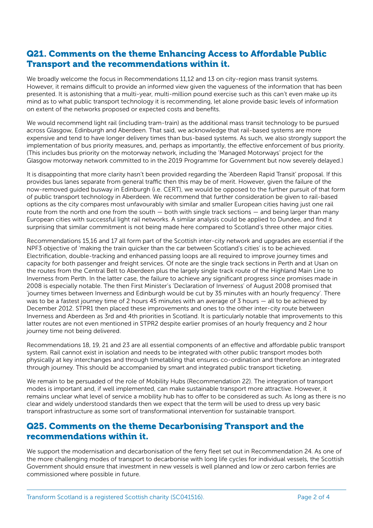#### Q21. Comments on the theme Enhancing Access to Affordable Public Transport and the recommendations within it.

We broadly welcome the focus in Recommendations 11,12 and 13 on city-region mass transit systems. However, it remains difficult to provide an informed view given the vagueness of the information that has been presented. It is astonishing that a multi-year, multi-million pound exercise such as this can't even make up its mind as to what public transport technology it is recommending, let alone provide basic levels of information on extent of the networks proposed or expected costs and benefits.

We would recommend light rail (including tram-train) as the additional mass transit technology to be pursued across Glasgow, Edinburgh and Aberdeen. That said, we acknowledge that rail-based systems are more expensive and tend to have longer delivery times than bus-based systems. As such, we also strongly support the implementation of bus priority measures, and, perhaps as importantly, the effective enforcement of bus priority. (This includes bus priority on the motorway network, including the 'Managed Motorways' project for the Glasgow motorway network committed to in the 2019 Programme for Government but now severely delayed.)

It is disappointing that more clarity hasn't been provided regarding the 'Aberdeen Rapid Transit' proposal. If this provides bus lanes separate from general traffic then this may be of merit. However, given the failure of the now-removed guided busway in Edinburgh (i.e. CERT), we would be opposed to the further pursuit of that form of public transport technology in Aberdeen. We recommend that further consideration be given to rail-based options as the city compares most unfavourably with similar and smaller European cities having just one rail route from the north and one from the south — both with single track sections — and being larger than many European cities with successful light rail networks. A similar analysis could be applied to Dundee, and find it surprising that similar commitment is not being made here compared to Scotland's three other major cities.

Recommendations 15,16 and 17 all form part of the Scottish inter-city network and upgrades are essential if the NPF3 objective of 'making the train quicker than the car between Scotland's cities' is to be achieved. Electrification, double-tracking and enhanced passing loops are all required to improve journey times and capacity for both passenger and freight services. Of note are the single track sections in Perth and at Usan on the routes from the Central Belt to Aberdeen plus the largely single track route of the Highland Main Line to Inverness from Perth. In the latter case, the failure to achieve any significant progress since promises made in 2008 is especially notable. The then First Minister's 'Declaration of Inverness' of August 2008 promised that 'journey times between Inverness and Edinburgh would be cut by 35 minutes with an hourly frequency'. There was to be a fastest journey time of 2 hours 45 minutes with an average of 3 hours — all to be achieved by December 2012. STPR1 then placed these improvements and ones to the other inter-city route between Inverness and Aberdeen as 3rd and 4th priorities in Scotland. It is particularly notable that improvements to this latter routes are not even mentioned in STPR2 despite earlier promises of an hourly frequency and 2 hour journey time not being delivered.

Recommendations 18, 19, 21 and 23 are all essential components of an effective and affordable public transport system. Rail cannot exist in isolation and needs to be integrated with other public transport modes both physically at key interchanges and through timetabling that ensures co-ordination and therefore an integrated through journey. This should be accompanied by smart and integrated public transport ticketing.

We remain to be persuaded of the role of Mobility Hubs (Recommendation 22). The integration of transport modes is important and, if well implemented, can make sustainable transport more attractive. However, it remains unclear what level of service a mobility hub has to offer to be considered as such. As long as there is no clear and widely understood standards then we expect that the term will be used to dress up very basic transport infrastructure as some sort of transformational intervention for sustainable transport.

#### Q25. Comments on the theme Decarbonising Transport and the recommendations within it.

We support the modernisation and decarbonisation of the ferry fleet set out in Recommendation 24. As one of the more challenging modes of transport to decarbonise with long life cycles for individual vessels, the Scottish Government should ensure that investment in new vessels is well planned and low or zero carbon ferries are commissioned where possible in future.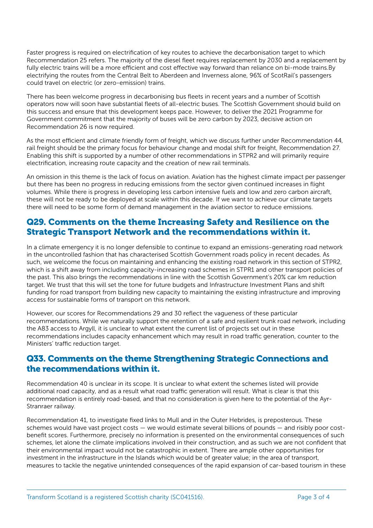Faster progress is required on electrification of key routes to achieve the decarbonisation target to which Recommendation 25 refers. The majority of the diesel fleet requires replacement by 2030 and a replacement by fully electric trains will be a more efficient and cost effective way forward than reliance on bi-mode trains.By electrifying the routes from the Central Belt to Aberdeen and Inverness alone, 96% of ScotRail's passengers could travel on electric (or zero-emission) trains.

There has been welcome progress in decarbonising bus fleets in recent years and a number of Scottish operators now will soon have substantial fleets of all-electric buses. The Scottish Government should build on this success and ensure that this development keeps pace. However, to deliver the 2021 Programme for Government commitment that the majority of buses will be zero carbon by 2023, decisive action on Recommendation 26 is now required.

As the most efficient and climate friendly form of freight, which we discuss further under Recommendation 44, rail freight should be the primary focus for behaviour change and modal shift for freight, Recommendation 27. Enabling this shift is supported by a number of other recommendations in STPR2 and will primarily require electrification, increasing route capacity and the creation of new rail terminals.

An omission in this theme is the lack of focus on aviation. Aviation has the highest climate impact per passenger but there has been no progress in reducing emissions from the sector given continued increases in flight volumes. While there is progress in developing less carbon intensive fuels and low and zero carbon aircraft, these will not be ready to be deployed at scale within this decade. If we want to achieve our climate targets there will need to be some form of demand management in the aviation sector to reduce emissions.

#### Q29. Comments on the theme Increasing Safety and Resilience on the Strategic Transport Network and the recommendations within it.

In a climate emergency it is no longer defensible to continue to expand an emissions-generating road network in the uncontrolled fashion that has characterised Scottish Government roads policy in recent decades. As such, we welcome the focus on maintaining and enhancing the existing road network in this section of STPR2, which is a shift away from including capacity-increasing road schemes in STPR1 and other transport policies of the past. This also brings the recommendations in line with the Scottish Government's 20% car km reduction target. We trust that this will set the tone for future budgets and Infrastructure Investment Plans and shift funding for road transport from building new capacity to maintaining the existing infrastructure and improving access for sustainable forms of transport on this network.

However, our scores for Recommendations 29 and 30 reflect the vagueness of these particular recommendations. While we naturally support the retention of a safe and resilient trunk road network, including the A83 access to Argyll, it is unclear to what extent the current list of projects set out in these recommendations includes capacity enhancement which may result in road traffic generation, counter to the Ministers' traffic reduction target.

#### Q33. Comments on the theme Strengthening Strategic Connections and the recommendations within it.

Recommendation 40 is unclear in its scope. It is unclear to what extent the schemes listed will provide additional road capacity, and as a result what road traffic generation will result. What is clear is that this recommendation is entirely road-based, and that no consideration is given here to the potential of the Ayr-Stranraer railway.

Recommendation 41, to investigate fixed links to Mull and in the Outer Hebrides, is preposterous. These schemes would have vast project costs — we would estimate several billions of pounds — and risibly poor costbenefit scores. Furthermore, precisely no information is presented on the environmental consequences of such schemes, let alone the climate implications involved in their construction, and as such we are not confident that their environmental impact would not be catastrophic in extent. There are ample other opportunities for investment in the infrastructure in the Islands which would be of greater value; in the area of transport, measures to tackle the negative unintended consequences of the rapid expansion of car-based tourism in these